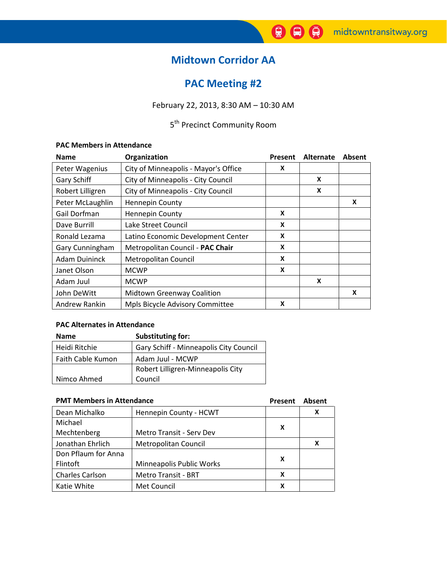# Midtown Corridor AA

# PAC Meeting #2

February 22, 2013, 8:30 AM – 10:30 AM

# 5<sup>th</sup> Precinct Community Room

## PAC Members in Attendance

| <b>Name</b>          | Organization                         | Present | Alternate | Absent |
|----------------------|--------------------------------------|---------|-----------|--------|
| Peter Wagenius       | City of Minneapolis - Mayor's Office | X       |           |        |
| Gary Schiff          | City of Minneapolis - City Council   |         | X         |        |
| Robert Lilligren     | City of Minneapolis - City Council   |         | X         |        |
| Peter McLaughlin     | <b>Hennepin County</b>               |         |           | X      |
| Gail Dorfman         | <b>Hennepin County</b>               | X       |           |        |
| Dave Burrill         | Lake Street Council                  | X       |           |        |
| Ronald Lezama        | Latino Economic Development Center   | X       |           |        |
| Gary Cunningham      | Metropolitan Council - PAC Chair     | X       |           |        |
| <b>Adam Duininck</b> | Metropolitan Council                 | X       |           |        |
| Janet Olson          | <b>MCWP</b>                          | X       |           |        |
| Adam Juul            | <b>MCWP</b>                          |         | X         |        |
| John DeWitt          | <b>Midtown Greenway Coalition</b>    |         |           | X      |
| Andrew Rankin        | Mpls Bicycle Advisory Committee      | X       |           |        |

# PAC Alternates in Attendance

| <b>Name</b>       | <b>Substituting for:</b>               |  |
|-------------------|----------------------------------------|--|
| Heidi Ritchie     | Gary Schiff - Minneapolis City Council |  |
| Faith Cable Kumon | Adam Juul - MCWP                       |  |
|                   | Robert Lilligren-Minneapolis City      |  |
| Nimco Ahmed       | Council                                |  |

|                        | <b>PMT Members in Attendance</b> |   | Absent |  |
|------------------------|----------------------------------|---|--------|--|
| Dean Michalko          | Hennepin County - HCWT           |   | х      |  |
| Michael                |                                  | X |        |  |
| Mechtenberg            | Metro Transit - Serv Dev         |   |        |  |
| Jonathan Ehrlich       | Metropolitan Council             |   | x      |  |
| Don Pflaum for Anna    |                                  | X |        |  |
| Flintoft               | Minneapolis Public Works         |   |        |  |
| <b>Charles Carlson</b> | <b>Metro Transit - BRT</b>       | x |        |  |
| Katie White            | Met Council                      | x |        |  |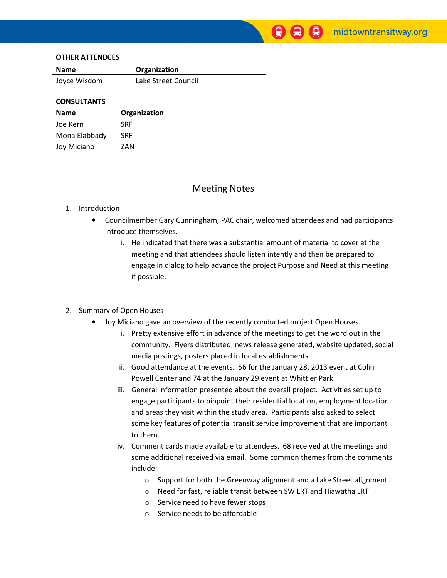#### OTHER ATTENDEES

| <b>Name</b>  | Organization        |  |
|--------------|---------------------|--|
| Joyce Wisdom | Lake Street Council |  |

### **CONSULTANTS**

| Name          | Organization |
|---------------|--------------|
| Joe Kern      | <b>SRF</b>   |
| Mona Elabbady | <b>SRF</b>   |
| Joy Miciano   | ZAN          |
|               |              |

## Meeting Notes

#### 1. Introduction

- Councilmember Gary Cunningham, PAC chair, welcomed attendees and had participants introduce themselves.
	- i. He indicated that there was a substantial amount of material to cover at the meeting and that attendees should listen intently and then be prepared to engage in dialog to help advance the project Purpose and Need at this meeting if possible.

### 2. Summary of Open Houses

- Joy Miciano gave an overview of the recently conducted project Open Houses.
	- i. Pretty extensive effort in advance of the meetings to get the word out in the community. Flyers distributed, news release generated, website updated, social media postings, posters placed in local establishments.
	- ii. Good attendance at the events. 56 for the January 28, 2013 event at Colin Powell Center and 74 at the January 29 event at Whittier Park.
	- iii. General information presented about the overall project. Activities set up to engage participants to pinpoint their residential location, employment location and areas they visit within the study area. Participants also asked to select some key features of potential transit service improvement that are important to them.
	- iv. Comment cards made available to attendees. 68 received at the meetings and some additional received via email. Some common themes from the comments include:
		- o Support for both the Greenway alignment and a Lake Street alignment
		- o Need for fast, reliable transit between SW LRT and Hiawatha LRT
		- o Service need to have fewer stops
		- o Service needs to be affordable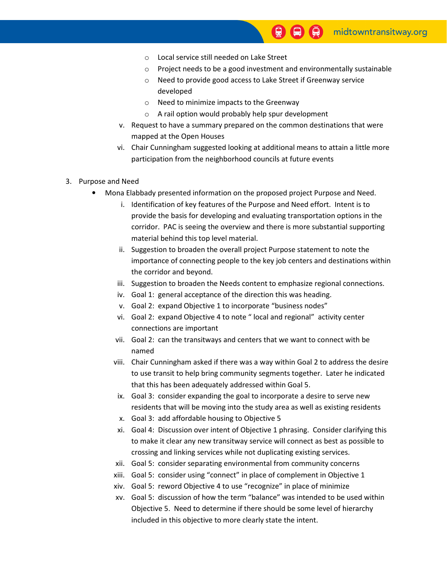- o Local service still needed on Lake Street
- o Project needs to be a good investment and environmentally sustainable
- o Need to provide good access to Lake Street if Greenway service developed
- o Need to minimize impacts to the Greenway
- o A rail option would probably help spur development
- v. Request to have a summary prepared on the common destinations that were mapped at the Open Houses
- vi. Chair Cunningham suggested looking at additional means to attain a little more participation from the neighborhood councils at future events
- 3. Purpose and Need
	- Mona Elabbady presented information on the proposed project Purpose and Need.
		- i. Identification of key features of the Purpose and Need effort. Intent is to provide the basis for developing and evaluating transportation options in the corridor. PAC is seeing the overview and there is more substantial supporting material behind this top level material.
		- ii. Suggestion to broaden the overall project Purpose statement to note the importance of connecting people to the key job centers and destinations within the corridor and beyond.
		- iii. Suggestion to broaden the Needs content to emphasize regional connections.
		- iv. Goal 1: general acceptance of the direction this was heading.
		- v. Goal 2: expand Objective 1 to incorporate "business nodes"
		- vi. Goal 2: expand Objective 4 to note " local and regional" activity center connections are important
		- vii. Goal 2: can the transitways and centers that we want to connect with be named
		- viii. Chair Cunningham asked if there was a way within Goal 2 to address the desire to use transit to help bring community segments together. Later he indicated that this has been adequately addressed within Goal 5.
		- ix. Goal 3: consider expanding the goal to incorporate a desire to serve new residents that will be moving into the study area as well as existing residents
		- x. Goal 3: add affordable housing to Objective 5
		- xi. Goal 4: Discussion over intent of Objective 1 phrasing. Consider clarifying this to make it clear any new transitway service will connect as best as possible to crossing and linking services while not duplicating existing services.
		- xii. Goal 5: consider separating environmental from community concerns
		- xiii. Goal 5: consider using "connect" in place of complement in Objective 1
		- xiv. Goal 5: reword Objective 4 to use "recognize" in place of minimize
		- xv. Goal 5: discussion of how the term "balance" was intended to be used within Objective 5. Need to determine if there should be some level of hierarchy included in this objective to more clearly state the intent.